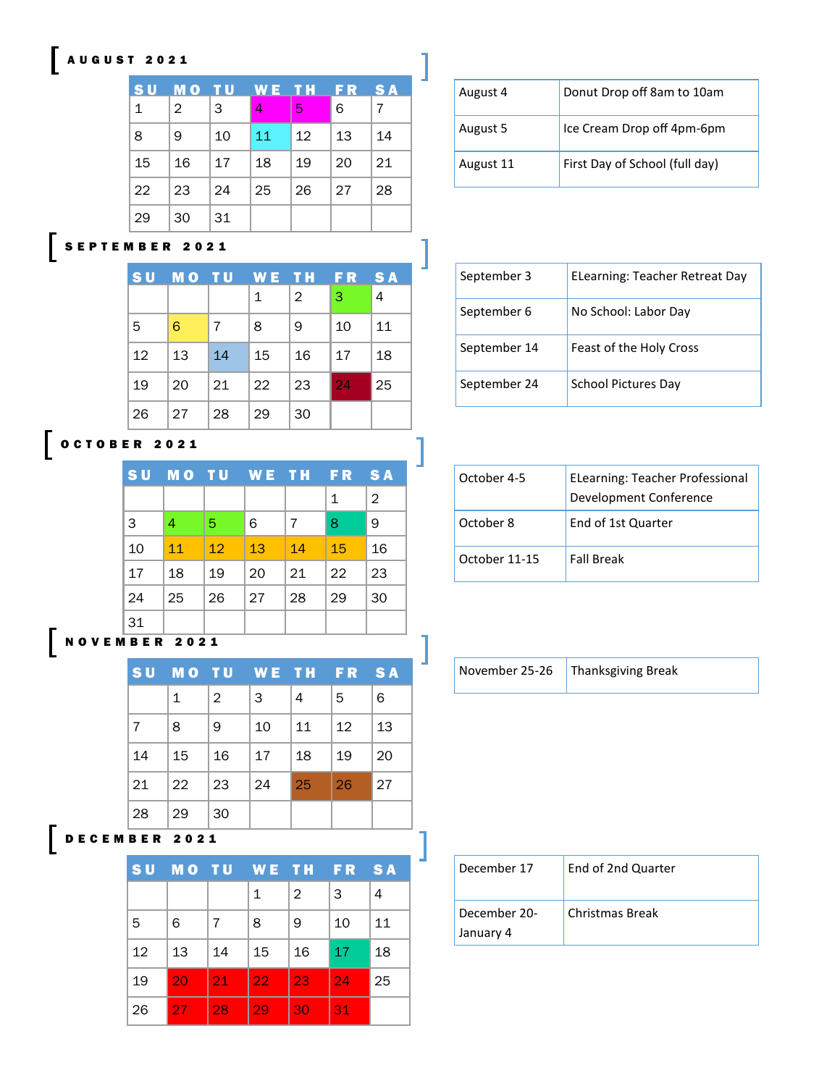#### A U G U S T 2 0 2 1

| <b>SU</b>    | M O            | тU | W E I | .T.H. | FR | <b>SA</b> |
|--------------|----------------|----|-------|-------|----|-----------|
| $\mathbf{1}$ | $\overline{2}$ | 3  | 4     | 5     | 6  | 7         |
| 8            | 9              | 10 | 11    | 12    | 13 | 14        |
| 15           | 16             | 17 | 18    | 19    | 20 | 21        |
| 22           | 23             | 24 | 25    | 26    | 27 | 28        |
| 29           | 30             | 31 |       |       |    |           |

| August 4  | Donut Drop off 8am to 10am     |
|-----------|--------------------------------|
| August 5  | Ice Cream Drop off 4pm-6pm     |
| August 11 | First Day of School (full day) |

# **SEPTEMBER 2021**

| <b>SU</b> | <b>MO</b> | - TU | WE TH |                | <b>FR</b> | <b>SA</b>      |
|-----------|-----------|------|-------|----------------|-----------|----------------|
|           |           |      | 1     | $\overline{2}$ | 3         | $\overline{4}$ |
| 5         | 6         | 7    | 8     | 9              | 10        | 11             |
| 12        | 13        | 14   | 15    | 16             | 17        | 18             |
| 19        | 20        | 21   | 22    | 23             | 24        | 25             |
| 26        | 27        | 28   | 29    | 30             |           |                |

1

### O C T O B E R 2021

| <b>SU</b> | MO TU |    |    | WE TH | FR. | <b>SA</b>      |
|-----------|-------|----|----|-------|-----|----------------|
|           |       |    |    |       | 1   | $\overline{2}$ |
| 3         | 4     | -5 | 6  | 7     | 8   | 9              |
| 10        | 11    | 12 | 13 | 14    | 15  | 16             |
| 17        | 18    | 19 | 20 | 21    | 22  | 23             |
| 24        | 25    | 26 | 27 | 28    | 29  | 30             |
| 31        |       |    |    |       |     |                |

#### N O V E M B E R 2 0 2 1

| <b>SU</b>       |    | <b>MOTU</b>    |    | WE TH FR |    | <b>SA</b> |  |
|-----------------|----|----------------|----|----------|----|-----------|--|
|                 | 1  | $\overline{2}$ | 3  | 4        | 5  | 6         |  |
| 7               | 8  | 9              | 10 | 11       | 12 | 13        |  |
| 14              | 15 | 16             | 17 | 18       | 19 | 20        |  |
| 21              | 22 | 23             | 24 | 25       | 26 | 27        |  |
| 28              | 29 | 30             |    |          |    |           |  |
| <b>BER 2021</b> |    |                |    |          |    |           |  |

## D E C E M B E R 2021

| <b>SU</b> | <b>MO TU</b> |    |    | WE TH          | <b>FR</b>  | <b>SA</b> |
|-----------|--------------|----|----|----------------|------------|-----------|
|           |              |    | 1  | $\overline{2}$ | 3          | 4         |
| 5         | 6            | 7  | 8  | 9              | 10         | 11        |
| 12        | 13           | 14 | 15 | 16             | $\vert$ 17 | 18        |
| 19        | 20           | 21 | 22 | 23             | 24         | 25        |
| 26        | 27           | 28 | 29 | 30             | 31         |           |

| September 3  | ELearning: Teacher Retreat Day |
|--------------|--------------------------------|
| September 6  | No School: Labor Day           |
| September 14 | Feast of the Holy Cross        |
| September 24 | School Pictures Day            |

| October 4-5   | <b>ELearning: Teacher Professional</b><br>Development Conference |
|---------------|------------------------------------------------------------------|
| October 8     | End of 1st Quarter                                               |
| October 11-15 | <b>Fall Break</b>                                                |

|  | November 25-26 | Thanksgiving Break |
|--|----------------|--------------------|
|--|----------------|--------------------|

| December 17               | End of 2nd Quarter     |
|---------------------------|------------------------|
| December 20-<br>January 4 | <b>Christmas Break</b> |